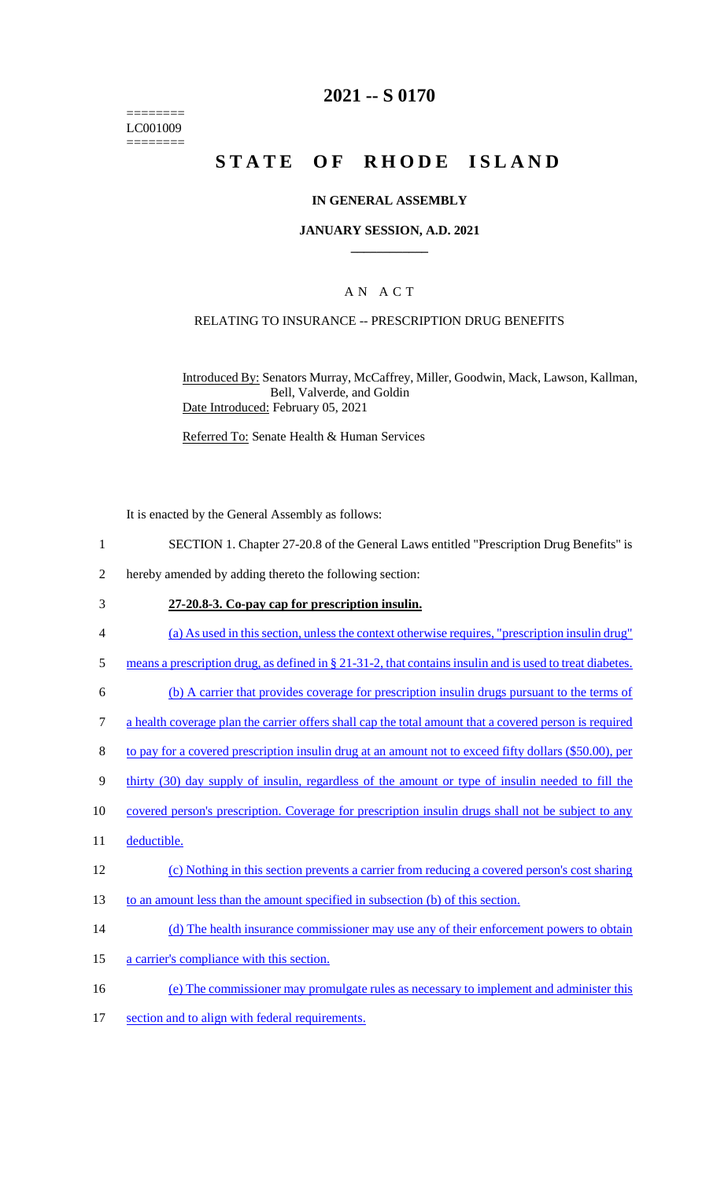======== LC001009 ========

# **2021 -- S 0170**

# **STATE OF RHODE ISLAND**

### **IN GENERAL ASSEMBLY**

### **JANUARY SESSION, A.D. 2021 \_\_\_\_\_\_\_\_\_\_\_\_**

### A N A C T

### RELATING TO INSURANCE -- PRESCRIPTION DRUG BENEFITS

Introduced By: Senators Murray, McCaffrey, Miller, Goodwin, Mack, Lawson, Kallman, Bell, Valverde, and Goldin Date Introduced: February 05, 2021

Referred To: Senate Health & Human Services

It is enacted by the General Assembly as follows:

- 1 SECTION 1. Chapter 27-20.8 of the General Laws entitled "Prescription Drug Benefits" is
- 2 hereby amended by adding thereto the following section:
- 3 **27-20.8-3. Co-pay cap for prescription insulin.**
- 4 (a) As used in this section, unless the context otherwise requires, "prescription insulin drug"
- 5 means a prescription drug, as defined in § 21-31-2, that contains insulin and is used to treat diabetes.
- 6 (b) A carrier that provides coverage for prescription insulin drugs pursuant to the terms of
- 7 a health coverage plan the carrier offers shall cap the total amount that a covered person is required
- 8 to pay for a covered prescription insulin drug at an amount not to exceed fifty dollars (\$50.00), per
- 9 thirty (30) day supply of insulin, regardless of the amount or type of insulin needed to fill the
- 10 covered person's prescription. Coverage for prescription insulin drugs shall not be subject to any
- 11 deductible.
- 12 (c) Nothing in this section prevents a carrier from reducing a covered person's cost sharing
- 13 to an amount less than the amount specified in subsection (b) of this section.
- 14 (d) The health insurance commissioner may use any of their enforcement powers to obtain
- 15 a carrier's compliance with this section.
- 16 (e) The commissioner may promulgate rules as necessary to implement and administer this
- 17 section and to align with federal requirements.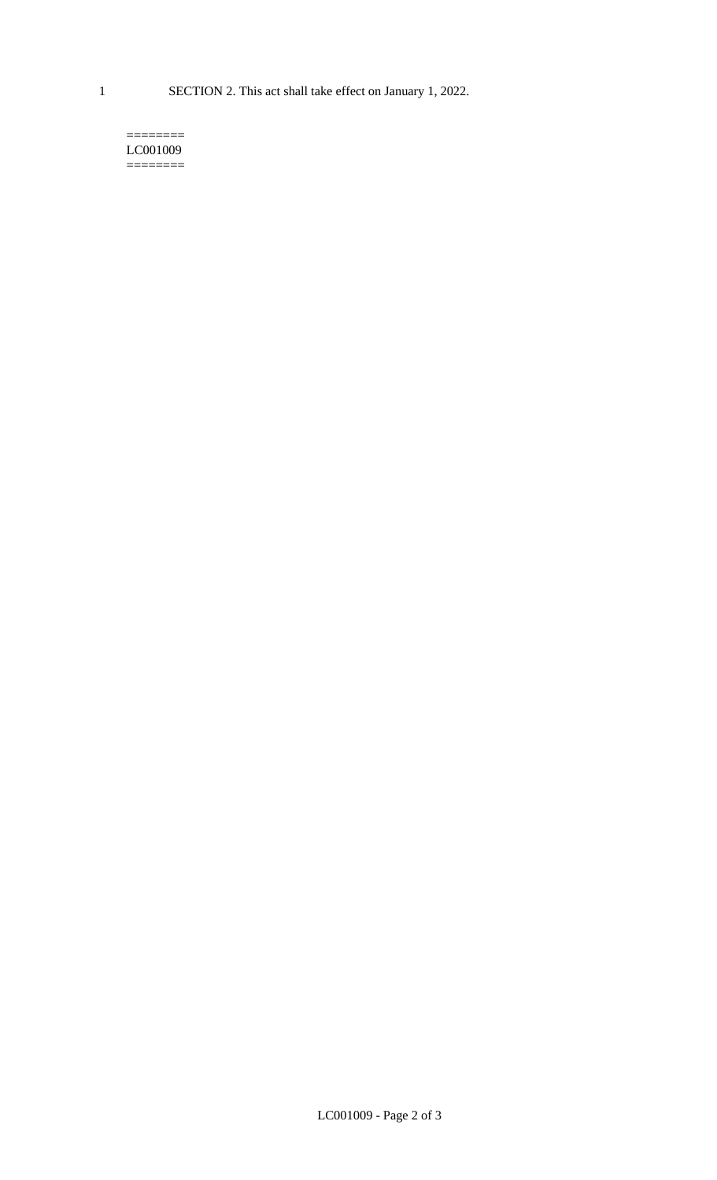1 SECTION 2. This act shall take effect on January 1, 2022.

#### $=$ LC001009 ========

LC001009 - Page 2 of 3